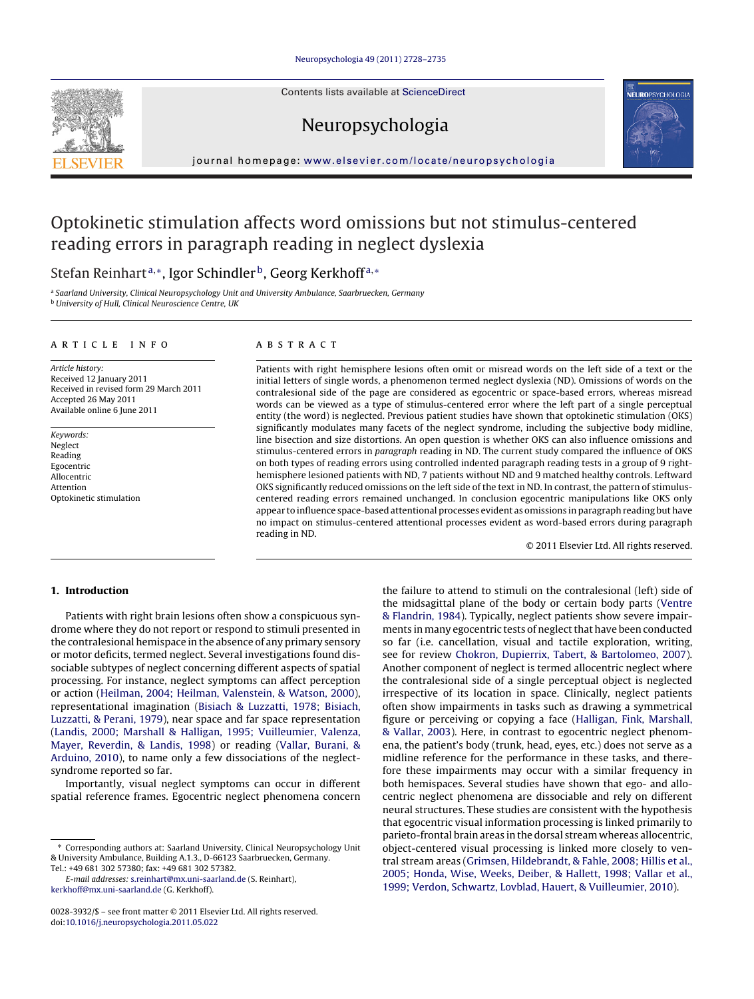Contents lists available at [ScienceDirect](http://www.sciencedirect.com/science/journal/00283932)

# Neuropsychologia



iournal homepage: [www.elsevier.com/locate/neuropsychologia](http://www.elsevier.com/locate/neuropsychologia)

## Optokinetic stimulation affects word omissions but not stimulus-centered reading errors in paragraph reading in neglect dyslexia

## Stefan Reinhart<sup>a,</sup>\*, Igor Schindler<sup>b</sup>, Georg Kerkhoff<sup>a,\*</sup>

a Saarland University, Clinical Neuropsychology Unit and University Ambulance, Saarbruecken, Germany <sup>b</sup> University of Hull, Clinical Neuroscience Centre, UK

## a r t i c l e i n f o

Article history: Received 12 January 2011 Received in revised form 29 March 2011 Accepted 26 May 2011 Available online 6 June 2011

Keywords: Neglect Reading Egocentric Allocentric Attention Optokinetic stimulation

## A B S T R A C T

Patients with right hemisphere lesions often omit or misread words on the left side of a text or the initial letters of single words, a phenomenon termed neglect dyslexia (ND). Omissions of words on the contralesional side of the page are considered as egocentric or space-based errors, whereas misread words can be viewed as a type of stimulus-centered error where the left part of a single perceptual entity (the word) is neglected. Previous patient studies have shown that optokinetic stimulation (OKS) significantly modulates many facets of the neglect syndrome, including the subjective body midline, line bisection and size distortions. An open question is whether OKS can also influence omissions and stimulus-centered errors in paragraph reading in ND. The current study compared the influence of OKS on both types of reading errors using controlled indented paragraph reading tests in a group of 9 righthemisphere lesioned patients with ND, 7 patients without ND and 9 matched healthy controls. Leftward OKS significantly reduced omissions on the left side of the text in ND. In contrast, the pattern of stimuluscentered reading errors remained unchanged. In conclusion egocentric manipulations like OKS only appear to influence space-based attentional processes evident as omissions in paragraph reading but have no impact on stimulus-centered attentional processes evident as word-based errors during paragraph reading in ND.

© 2011 Elsevier Ltd. All rights reserved.

## **1. Introduction**

Patients with right brain lesions often show a conspicuous syndrome where they do not report or respond to stimuli presented in the contralesional hemispace in the absence of any primary sensory or motor deficits, termed neglect. Several investigations found dissociable subtypes of neglect concerning different aspects of spatial processing. For instance, neglect symptoms can affect perception or action [\(Heilman,](#page-6-0) [2004;](#page-6-0) [Heilman,](#page-6-0) [Valenstein,](#page-6-0) [&](#page-6-0) [Watson,](#page-6-0) [2000\),](#page-6-0) representational imagination ([Bisiach](#page-6-0) [&](#page-6-0) [Luzzatti,](#page-6-0) [1978;](#page-6-0) [Bisiach,](#page-6-0) [Luzzatti,](#page-6-0) [&](#page-6-0) [Perani,](#page-6-0) [1979\),](#page-6-0) near space and far space representation ([Landis,](#page-6-0) [2000;](#page-6-0) [Marshall](#page-6-0) [&](#page-6-0) [Halligan,](#page-6-0) [1995;](#page-6-0) [Vuilleumier,](#page-6-0) [Valenza,](#page-6-0) [Mayer,](#page-6-0) [Reverdin,](#page-6-0) [&](#page-6-0) [Landis,](#page-6-0) [1998\)](#page-6-0) or reading ([Vallar,](#page-7-0) [Burani,](#page-7-0) [&](#page-7-0) [Arduino,](#page-7-0) [2010\),](#page-7-0) to name only a few dissociations of the neglectsyndrome reported so far.

Importantly, visual neglect symptoms can occur in different spatial reference frames. Egocentric neglect phenomena concern the failure to attend to stimuli on the contralesional (left) side of the midsagittal plane of the body or certain body parts [\(Ventre](#page-7-0) [&](#page-7-0) [Flandrin,](#page-7-0) [1984\).](#page-7-0) Typically, neglect patients show severe impairments in many egocentric tests of neglect that have been conducted so far (i.e. cancellation, visual and tactile exploration, writing, see for review [Chokron,](#page-6-0) [Dupierrix,](#page-6-0) [Tabert,](#page-6-0) [&](#page-6-0) [Bartolomeo,](#page-6-0) [2007\).](#page-6-0) Another component of neglect is termed allocentric neglect where the contralesional side of a single perceptual object is neglected irrespective of its location in space. Clinically, neglect patients often show impairments in tasks such as drawing a symmetrical figure or perceiving or copying a face [\(Halligan,](#page-6-0) [Fink,](#page-6-0) [Marshall,](#page-6-0) [&](#page-6-0) [Vallar,](#page-6-0) [2003\).](#page-6-0) Here, in contrast to egocentric neglect phenomena, the patient's body (trunk, head, eyes, etc.) does not serve as a midline reference for the performance in these tasks, and therefore these impairments may occur with a similar frequency in both hemispaces. Several studies have shown that ego- and allocentric neglect phenomena are dissociable and rely on different neural structures. These studies are consistent with the hypothesis that egocentric visual information processing is linked primarily to parieto-frontal brain areas in the dorsal stream whereas allocentric, object-centered visual processing is linked more closely to ventral stream areas ([Grimsen,](#page-6-0) [Hildebrandt,](#page-6-0) [&](#page-6-0) [Fahle,](#page-6-0) [2008;](#page-6-0) [Hillis](#page-6-0) et [al.,](#page-6-0) [2005;](#page-6-0) [Honda,](#page-6-0) [Wise,](#page-6-0) [Weeks,](#page-6-0) [Deiber,](#page-6-0) [&](#page-6-0) [Hallett,](#page-6-0) [1998;](#page-6-0) [Vallar](#page-6-0) et [al.,](#page-6-0) [1999;](#page-6-0) [Verdon,](#page-6-0) [Schwartz,](#page-6-0) [Lovblad,](#page-6-0) [Hauert,](#page-6-0) [&](#page-6-0) [Vuilleumier,](#page-6-0) [2010\).](#page-6-0)



<sup>∗</sup> Corresponding authors at: Saarland University, Clinical Neuropsychology Unit & University Ambulance, Building A.1.3., D-66123 Saarbruecken, Germany. Tel.: +49 681 302 57380; fax: +49 681 302 57382.

E-mail addresses: [s.reinhart@mx.uni-saarland.de](mailto:s.reinhart@mx.uni-saarland.de) (S. Reinhart), [kerkhoff@mx.uni-saarland.de](mailto:kerkhoff@mx.uni-saarland.de) (G. Kerkhoff).

<sup>0028-3932/\$</sup> – see front matter © 2011 Elsevier Ltd. All rights reserved. doi:[10.1016/j.neuropsychologia.2011.05.022](dx.doi.org/10.1016/j.neuropsychologia.2011.05.022)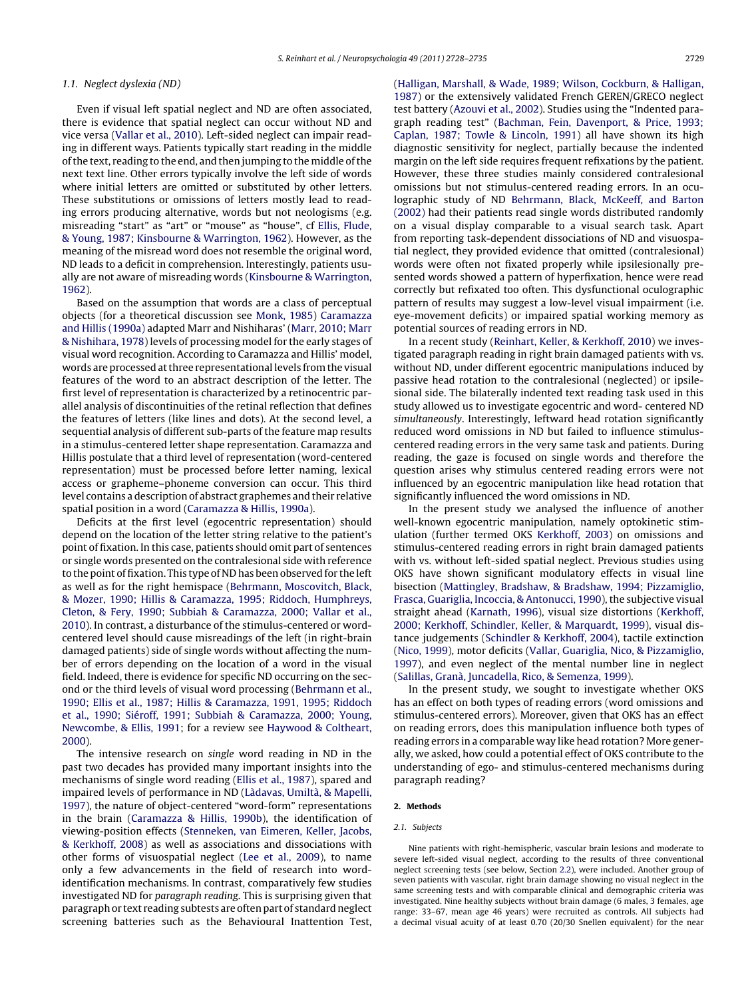## 1.1. Neglect dyslexia (ND)

Even if visual left spatial neglect and ND are often associated, there is evidence that spatial neglect can occur without ND and vice versa [\(Vallar](#page-7-0) et [al.,](#page-7-0) [2010\).](#page-7-0) Left-sided neglect can impair reading in different ways. Patients typically start reading in the middle ofthe text, reading to the end, and then jumping to the middle ofthe next text line. Other errors typically involve the left side of words where initial letters are omitted or substituted by other letters. These substitutions or omissions of letters mostly lead to reading errors producing alternative, words but not neologisms (e.g. misreading "start" as "art" or "mouse" as "house", cf [Ellis,](#page-6-0) [Flude,](#page-6-0) [&](#page-6-0) [Young,](#page-6-0) [1987;](#page-6-0) [Kinsbourne](#page-6-0) [&](#page-6-0) [Warrington,](#page-6-0) [1962\).](#page-6-0) However, as the meaning of the misread word does not resemble the original word, ND leads to a deficit in comprehension. Interestingly, patients usually are not aware of misreading words ([Kinsbourne](#page-6-0) [&](#page-6-0) [Warrington,](#page-6-0) [1962\).](#page-6-0)

Based on the assumption that words are a class of perceptual objects (for a theoretical discussion see [Monk,](#page-6-0) [1985\)](#page-6-0) [Caramazza](#page-6-0) [and](#page-6-0) [Hillis](#page-6-0) [\(1990a\)](#page-6-0) adapted Marr and Nishiharas' [\(Marr,](#page-6-0) [2010;](#page-6-0) [Marr](#page-6-0) [&](#page-6-0) [Nishihara,](#page-6-0) [1978\)](#page-6-0) levels of processing model for the early stages of visual word recognition. According to Caramazza and Hillis' model, words are processed atthree representational levels from the visual features of the word to an abstract description of the letter. The first level of representation is characterized by a retinocentric parallel analysis of discontinuities of the retinal reflection that defines the features of letters (like lines and dots). At the second level, a sequential analysis of different sub-parts of the feature map results in a stimulus-centered letter shape representation. Caramazza and Hillis postulate that a third level of representation (word-centered representation) must be processed before letter naming, lexical access or grapheme–phoneme conversion can occur. This third level contains a description of abstract graphemes and their relative spatial position in a word ([Caramazza](#page-6-0) [&](#page-6-0) [Hillis,](#page-6-0) [1990a\).](#page-6-0)

Deficits at the first level (egocentric representation) should depend on the location of the letter string relative to the patient's point of fixation. In this case, patients should omit part of sentences or single words presented on the contralesional side with reference to the point offixation. This type of ND has been observed for the left as well as for the right hemispace [\(Behrmann,](#page-6-0) [Moscovitch,](#page-6-0) [Black,](#page-6-0) [&](#page-6-0) [Mozer,](#page-6-0) [1990;](#page-6-0) [Hillis](#page-6-0) [&](#page-6-0) [Caramazza,](#page-6-0) [1995;](#page-6-0) [Riddoch,](#page-6-0) [Humphreys,](#page-6-0) [Cleton,](#page-6-0) [&](#page-6-0) [Fery,](#page-6-0) [1990;](#page-6-0) [Subbiah](#page-6-0) [&](#page-6-0) [Caramazza,](#page-6-0) [2000;](#page-6-0) [Vallar](#page-6-0) et [al.,](#page-6-0) [2010\).](#page-6-0) In contrast, a disturbance of the stimulus-centered or wordcentered level should cause misreadings of the left (in right-brain damaged patients) side of single words without affecting the number of errors depending on the location of a word in the visual field. Indeed, there is evidence for specific ND occurring on the second or the third levels of visual word processing [\(Behrmann](#page-6-0) et [al.,](#page-6-0) [1990;](#page-6-0) [Ellis](#page-6-0) et [al.,](#page-6-0) [1987;](#page-6-0) [Hillis](#page-6-0) [&](#page-6-0) [Caramazza,](#page-6-0) [1991,](#page-6-0) [1995;](#page-6-0) [Riddoch](#page-6-0) et [al.,](#page-6-0) [1990;](#page-6-0) [Siéroff,](#page-6-0) [1991;](#page-6-0) [Subbiah](#page-6-0) [&](#page-6-0) [Caramazza,](#page-6-0) [2000;](#page-6-0) [Young,](#page-6-0) [Newcombe,](#page-6-0) [&](#page-6-0) [Ellis,](#page-6-0) [1991;](#page-6-0) for a review see [Haywood](#page-6-0) [&](#page-6-0) [Coltheart,](#page-6-0) [2000\).](#page-6-0)

The intensive research on single word reading in ND in the past two decades has provided many important insights into the mechanisms of single word reading ([Ellis](#page-6-0) et [al.,](#page-6-0) [1987\),](#page-6-0) spared and impaired levels of performance in ND [\(Làdavas,](#page-6-0) [Umiltà,](#page-6-0) [&](#page-6-0) [Mapelli,](#page-6-0) [1997\),](#page-6-0) the nature of object-centered "word-form" representations in the brain [\(Caramazza](#page-6-0) [&](#page-6-0) [Hillis,](#page-6-0) [1990b\),](#page-6-0) the identification of viewing-position effects [\(Stenneken,](#page-6-0) [van](#page-6-0) [Eimeren,](#page-6-0) [Keller,](#page-6-0) [Jacobs,](#page-6-0) [&](#page-6-0) [Kerkhoff,](#page-6-0) [2008\)](#page-6-0) as well as associations and dissociations with other forms of visuospatial neglect ([Lee](#page-6-0) et [al.,](#page-6-0) [2009\),](#page-6-0) to name only a few advancements in the field of research into wordidentification mechanisms. In contrast, comparatively few studies investigated ND for paragraph reading. This is surprising given that paragraph or text reading subtests are often part of standard neglect screening batteries such as the Behavioural Inattention Test, [\(Halligan,](#page-6-0) [Marshall,](#page-6-0) [&](#page-6-0) [Wade,](#page-6-0) [1989;](#page-6-0) [Wilson,](#page-6-0) [Cockburn,](#page-6-0) [&](#page-6-0) [Halligan,](#page-6-0) [1987\)](#page-6-0) or the extensively validated French GEREN/GRECO neglect test battery [\(Azouvi](#page-6-0) et [al.,](#page-6-0) [2002\).](#page-6-0) Studies using the "Indented paragraph reading test" ([Bachman,](#page-6-0) [Fein,](#page-6-0) [Davenport,](#page-6-0) [&](#page-6-0) [Price,](#page-6-0) [1993;](#page-6-0) [Caplan,](#page-6-0) [1987;](#page-6-0) [Towle](#page-6-0) [&](#page-6-0) [Lincoln,](#page-6-0) [1991\)](#page-6-0) all have shown its high diagnostic sensitivity for neglect, partially because the indented margin on the left side requires frequent refixations by the patient. However, these three studies mainly considered contralesional omissions but not stimulus-centered reading errors. In an oculographic study of ND [Behrmann,](#page-6-0) [Black,](#page-6-0) [McKeeff,](#page-6-0) [and](#page-6-0) [Barton](#page-6-0) [\(2002\)](#page-6-0) had their patients read single words distributed randomly on a visual display comparable to a visual search task. Apart from reporting task-dependent dissociations of ND and visuospatial neglect, they provided evidence that omitted (contralesional) words were often not fixated properly while ipsilesionally presented words showed a pattern of hyperfixation, hence were read correctly but refixated too often. This dysfunctional oculographic pattern of results may suggest a low-level visual impairment (i.e. eye-movement deficits) or impaired spatial working memory as potential sources of reading errors in ND.

In a recent study ([Reinhart,](#page-6-0) [Keller,](#page-6-0) [&](#page-6-0) [Kerkhoff,](#page-6-0) [2010\)](#page-6-0) we investigated paragraph reading in right brain damaged patients with vs. without ND, under different egocentric manipulations induced by passive head rotation to the contralesional (neglected) or ipsilesional side. The bilaterally indented text reading task used in this study allowed us to investigate egocentric and word- centered ND simultaneously. Interestingly, leftward head rotation significantly reduced word omissions in ND but failed to influence stimuluscentered reading errors in the very same task and patients. During reading, the gaze is focused on single words and therefore the question arises why stimulus centered reading errors were not influenced by an egocentric manipulation like head rotation that significantly influenced the word omissions in ND.

In the present study we analysed the influence of another well-known egocentric manipulation, namely optokinetic stimulation (further termed OKS [Kerkhoff,](#page-6-0) [2003\)](#page-6-0) on omissions and stimulus-centered reading errors in right brain damaged patients with vs. without left-sided spatial neglect. Previous studies using OKS have shown significant modulatory effects in visual line bisection ([Mattingley,](#page-6-0) [Bradshaw,](#page-6-0) [&](#page-6-0) [Bradshaw,](#page-6-0) [1994;](#page-6-0) [Pizzamiglio,](#page-6-0) [Frasca,](#page-6-0) [Guariglia,](#page-6-0) [Incoccia,](#page-6-0) [&](#page-6-0) [Antonucci,](#page-6-0) [1990\),](#page-6-0) the subjective visual straight ahead ([Karnath,](#page-6-0) [1996\),](#page-6-0) visual size distortions [\(Kerkhoff,](#page-6-0) [2000;](#page-6-0) [Kerkhoff,](#page-6-0) [Schindler,](#page-6-0) [Keller,](#page-6-0) [&](#page-6-0) [Marquardt,](#page-6-0) [1999\),](#page-6-0) visual distance judgements ([Schindler](#page-6-0) [&](#page-6-0) [Kerkhoff,](#page-6-0) [2004\),](#page-6-0) tactile extinction [\(Nico,](#page-6-0) [1999\),](#page-6-0) motor deficits ([Vallar,](#page-7-0) [Guariglia,](#page-7-0) [Nico,](#page-7-0) [&](#page-7-0) [Pizzamiglio,](#page-7-0) [1997\),](#page-7-0) and even neglect of the mental number line in neglect [\(Salillas,](#page-6-0) [Granà,](#page-6-0) [Juncadella,](#page-6-0) [Rico,](#page-6-0) [&](#page-6-0) [Semenza,](#page-6-0) [1999\).](#page-6-0)

In the present study, we sought to investigate whether OKS has an effect on both types of reading errors (word omissions and stimulus-centered errors). Moreover, given that OKS has an effect on reading errors, does this manipulation influence both types of reading errors in a comparable way like head rotation? More generally, we asked, how could a potential effect of OKS contribute to the understanding of ego- and stimulus-centered mechanisms during paragraph reading?

## **2. Methods**

## 2.1. Subjects

Nine patients with right-hemispheric, vascular brain lesions and moderate to severe left-sided visual neglect, according to the results of three conventional neglect screening tests (see below, Section [2.2\),](#page-2-0) were included. Another group of seven patients with vascular, right brain damage showing no visual neglect in the same screening tests and with comparable clinical and demographic criteria was investigated. Nine healthy subjects without brain damage (6 males, 3 females, age range: 33–67, mean age 46 years) were recruited as controls. All subjects had a decimal visual acuity of at least 0.70 (20/30 Snellen equivalent) for the near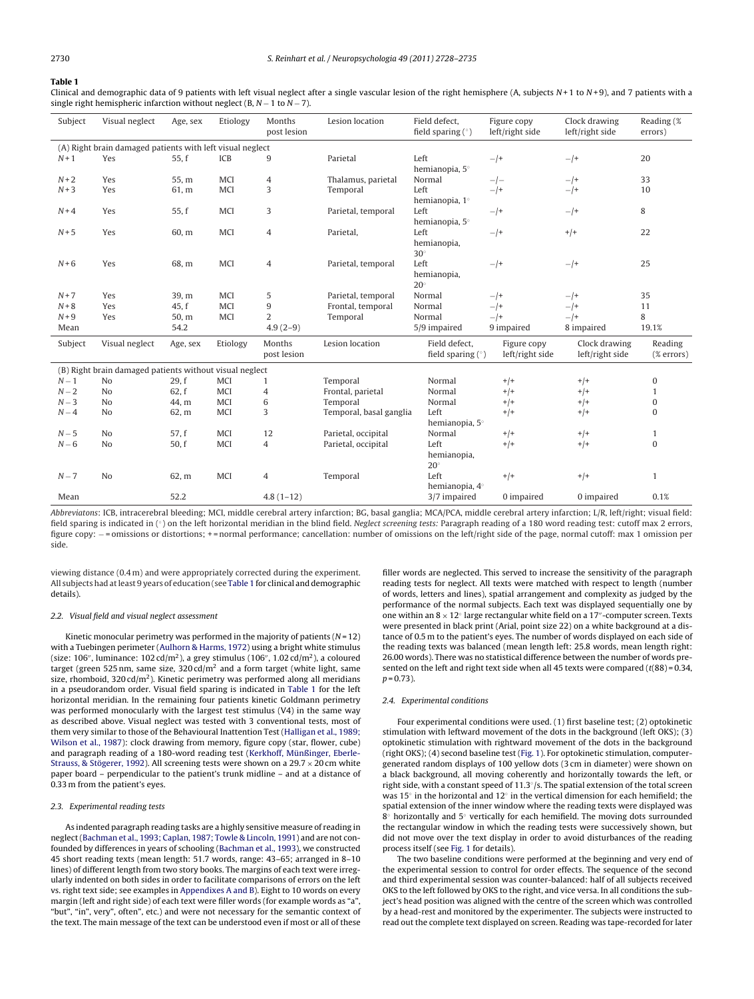## <span id="page-2-0"></span>**Table 1**

Clinical and demographic data of 9 patients with left visual neglect after a single vascular lesion of the right hemisphere (A, subjects  $N+1$  to  $N+9$ ), and 7 patients with a single right hemispheric infarction without neglect (B,  $N - 1$  to  $N - 7$ ).

| Subject                                                   | Visual neglect | Age, sex | Etiology | Months<br>post lesion | Lesion location         | Field defect.<br>field sparing $(°)$ | Figure copy<br>left/right side | Clock drawing<br>left/right side | Reading (%<br>errors) |
|-----------------------------------------------------------|----------------|----------|----------|-----------------------|-------------------------|--------------------------------------|--------------------------------|----------------------------------|-----------------------|
| (A) Right brain damaged patients with left visual neglect |                |          |          |                       |                         |                                      |                                |                                  |                       |
| $N+1$                                                     | Yes            | 55, f    | ICB      | 9                     | Parietal                | Left<br>hemianopia, 5°               | $-$ /+                         | $-$ /+                           | 20                    |
| $N+2$                                                     | Yes            | 55, m    | MCI      | 4                     | Thalamus, parietal      | Normal                               | $-/-$                          | $-$ /+                           | 33                    |
| $N+3$                                                     | Yes            | 61, m    | MCI      | 3                     | Temporal                | Left<br>hemianopia, 1°               | $-$ /+                         | $-$ /+                           | 10                    |
| $N+4$                                                     | Yes            | 55, f    | MCI      | 3                     | Parietal, temporal      | Left<br>hemianopia, 5°               | $-$ /+                         | $-$ /+                           | 8                     |
| $N+5$                                                     | Yes            | 60, m    | MCI      | $\overline{4}$        | Parietal,               | Left<br>hemianopia,<br>$30^\circ$    | $-$ /+                         | $+/-$                            | 22                    |
| $N+6$                                                     | Yes            | 68, m    | MCI      | $\overline{4}$        | Parietal, temporal      | Left<br>hemianopia,<br>$20^{\circ}$  | $-$ /+                         | $-$ /+                           | 25                    |
| $N+7$                                                     | Yes            | 39, m    | MCI      | 5                     | Parietal, temporal      | Normal                               | $-$ /+                         | $-$ /+                           | 35                    |
| $N+8$                                                     | Yes            | 45. f    | MCI      | $\overline{9}$        | Frontal, temporal       | Normal                               | $-$ /+                         | $-$ /+                           | 11                    |
| $N+9$                                                     | Yes            | 50, m    | MCI      | $\overline{2}$        | Temporal                | Normal                               | $-$ /+                         | $-$ /+                           | 8                     |
| Mean                                                      |                | 54.2     |          | $4.9(2-9)$            |                         | 5/9 impaired                         | 9 impaired                     | 8 impaired                       | 19.1%                 |
| Subject                                                   | Visual neglect | Age, sex | Etiology | Months<br>post lesion | Lesion location         | Field defect.<br>field sparing $(°)$ | Figure copy<br>left/right side | Clock drawing<br>left/right side | Reading<br>(% errors) |
| (B) Right brain damaged patients without visual neglect   |                |          |          |                       |                         |                                      |                                |                                  |                       |
| $N-1$                                                     | N <sub>o</sub> | 29.f     | MCI      |                       | Temporal                | Normal                               | $+$ /+                         | $+/-$                            | $\bf{0}$              |
| $N-2$                                                     | N <sub>o</sub> | 62, f    | MCI      | 4                     | Frontal, parietal       | Normal                               | $+$ /+                         | $+/-$                            | 1                     |
| $N-3$                                                     | N <sub>o</sub> | 44, m    | MCI      | 6                     | Temporal                | Normal                               | $+$ /+                         | $+$ /+                           | $\bf{0}$              |
| $N-4$                                                     | No             | 62, m    | MCI      | 3                     | Temporal, basal ganglia | Left<br>hemianopia, 5°               | $+$ /+                         | $+/-$                            | $\mathbf{0}$          |
| $N-5$                                                     | N <sub>o</sub> | 57.f     | MCI      | 12                    | Parietal, occipital     | Normal                               | $+$ /+                         | $+/-$                            | $\mathbf{1}$          |
| $N-6$                                                     | No             | 50, f    | MCI      | 4                     | Parietal, occipital     | Left<br>hemianopia,<br>$20^\circ$    | $+$ /+                         | $+/-$                            | $\mathbf{0}$          |
| $N-7$                                                     | N <sub>o</sub> | 62, m    | MCI      | 4                     | Temporal                | Left<br>hemianopia, 4°               | $+/-$                          | $+/-$                            | $\mathbf{1}$          |
| Mean                                                      |                | 52.2     |          | $4.8(1-12)$           |                         | 3/7 impaired                         | 0 impaired                     | 0 impaired                       | 0.1%                  |

Abbreviatons: ICB, intracerebral bleeding; MCI, middle cerebral artery infarction; BG, basal ganglia; MCA/PCA, middle cerebral artery infarction; L/R, left/right; visual field: field sparing is indicated in (◦) on the left horizontal meridian in the blind field. Neglect screening tests: Paragraph reading of a 180 word reading test: cutoff max 2 errors, figure copy: − = omissions or distortions; + = normal performance; cancellation: number of omissions on the left/right side of the page, normal cutoff: max 1 omission per side.

viewing distance (0.4 m) and were appropriately corrected during the experiment. All subjects had atleast 9 years of education (see Table 1 for clinical and demographic details).

### 2.2. Visual field and visual neglect assessment

Kinetic monocular perimetry was performed in the majority of patients  $(N = 12)$ with a Tuebingen perimeter [\(Aulhorn](#page-6-0) [&](#page-6-0) [Harms,](#page-6-0) [1972\)](#page-6-0) using a bright white stimulus (size: 106", luminance:  $102 \text{ cd/m}^2$ ), a grey stimulus (106", 1.02 cd/m<sup>2</sup>), a coloured target (green 525 nm, same size, 320 cd/m2 and a form target (white light, same size, rhomboid,  $320 \text{ cd/m}^2$ ). Kinetic perimetry was performed along all meridians in a pseudorandom order. Visual field sparing is indicated in Table 1 for the left horizontal meridian. In the remaining four patients kinetic Goldmann perimetry was performed monocularly with the largest test stimulus (V4) in the same way as described above. Visual neglect was tested with 3 conventional tests, most of them very similar to those of the Behavioural Inattention Test [\(Halligan](#page-6-0) et [al.,](#page-6-0) [1989;](#page-6-0) [Wilson](#page-6-0) et [al.,](#page-6-0) [1987\):](#page-6-0) clock drawing from memory, figure copy (star, flower, cube) and paragraph reading of a 180-word reading test ([Kerkhoff,](#page-6-0) [Münßinger,](#page-6-0) [Eberle-](#page-6-0)Strauss, [&](#page-6-0) [Stögerer,](#page-6-0) [1992\).](#page-6-0) All screening tests were shown on a  $29.7 \times 20$  cm white paper board – perpendicular to the patient's trunk midline – and at a distance of 0.33 m from the patient's eyes.

## 2.3. Experimental reading tests

As indented paragraph reading tasks are a highly sensitive measure of reading in neglect([Bachman](#page-6-0) et [al.,](#page-6-0) [1993;](#page-6-0) [Caplan,](#page-6-0) [1987;](#page-6-0) [Towle](#page-6-0) [&](#page-6-0) [Lincoln,](#page-6-0) [1991\)](#page-6-0) and are not confounded by differences in years of schooling [\(Bachman](#page-6-0) et [al.,](#page-6-0) [1993\),](#page-6-0) we constructed 45 short reading texts (mean length: 51.7 words, range: 43–65; arranged in 8–10 lines) of different length from two story books. The margins of each text were irregularly indented on both sides in order to facilitate comparisons of errors on the left vs. right text side; see examples in [Appendixes](#page-5-0) [A](#page-5-0) [and](#page-5-0) [B\).](#page-5-0) Eight to 10 words on every margin (left and right side) of each text were filler words (for example words as "a", "but", "in", very", often", etc.) and were not necessary for the semantic context of the text. The main message of the text can be understood even if most or all of these filler words are neglected. This served to increase the sensitivity of the paragraph reading tests for neglect. All texts were matched with respect to length (number of words, letters and lines), spatial arrangement and complexity as judged by the performance of the normal subjects. Each text was displayed sequentially one by one within an  $8 \times 12^\circ$  large rectangular white field on a 17"-computer screen. Texts were presented in black print (Arial, point size 22) on a white background at a distance of 0.5 m to the patient's eyes. The number of words displayed on each side of the reading texts was balanced (mean length left: 25.8 words, mean length right: 26.00 words). There was no statistical difference between the number of words presented on the left and right text side when all 45 texts were compared  $(t(88) = 0.34,$  $p = 0.73$ ).

## 2.4. Experimental conditions

Four experimental conditions were used. (1) first baseline test; (2) optokinetic stimulation with leftward movement of the dots in the background (left OKS); (3) optokinetic stimulation with rightward movement of the dots in the background (right OKS); (4) second baseline test [\(Fig.](#page-3-0) 1). For optokinetic stimulation, computergenerated random displays of 100 yellow dots (3 cm in diameter) were shown on a black background, all moving coherently and horizontally towards the left, or right side, with a constant speed of 11.3◦/s. The spatial extension of the total screen was 15◦ in the horizontal and 12◦ in the vertical dimension for each hemifield; the spatial extension of the inner window where the reading texts were displayed was 8◦ horizontally and 5◦ vertically for each hemifield. The moving dots surrounded the rectangular window in which the reading tests were successively shown, but did not move over the text display in order to avoid disturbances of the reading process itself (see [Fig.](#page-3-0) 1 for details).

The two baseline conditions were performed at the beginning and very end of the experimental session to control for order effects. The sequence of the second and third experimental session was counter-balanced: half of all subjects received OKS to the left followed by OKS to the right, and vice versa. In all conditions the subject's head position was aligned with the centre of the screen which was controlled by a head-rest and monitored by the experimenter. The subjects were instructed to read out the complete text displayed on screen. Reading was tape-recorded for later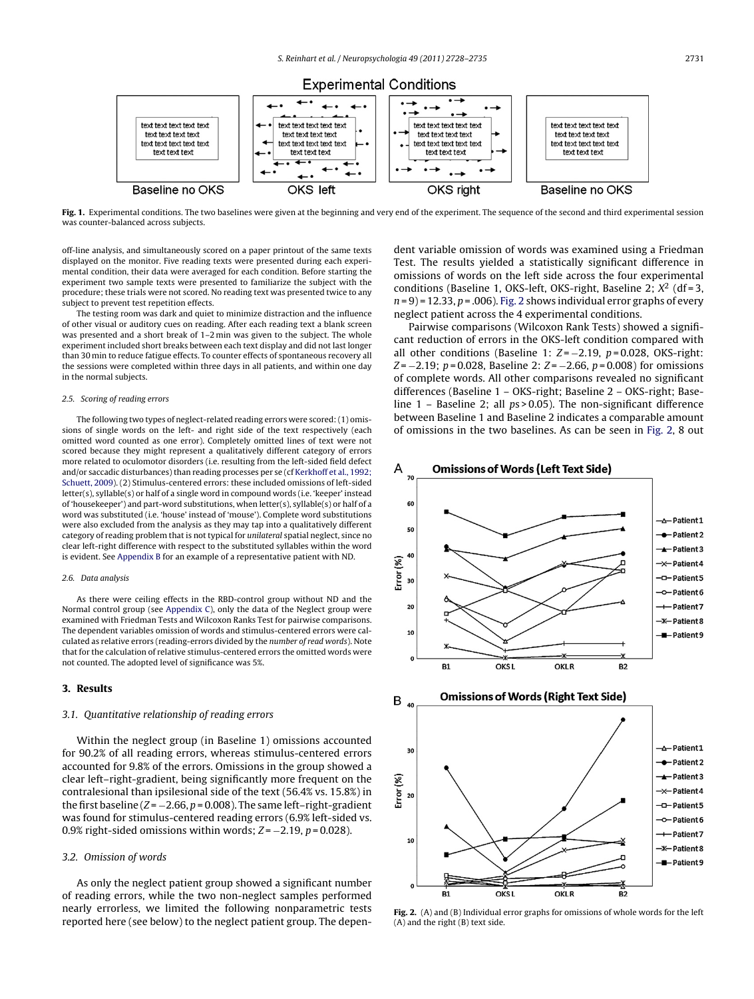<span id="page-3-0"></span>

Fig. 1. Experimental conditions. The two baselines were given at the beginning and very end of the experiment. The sequence of the second and third experimental session was counter-balanced across subjects.

off-line analysis, and simultaneously scored on a paper printout of the same texts displayed on the monitor. Five reading texts were presented during each experimental condition, their data were averaged for each condition. Before starting the experiment two sample texts were presented to familiarize the subject with the procedure; these trials were not scored. No reading text was presented twice to any subject to prevent test repetition effects.

The testing room was dark and quiet to minimize distraction and the influence of other visual or auditory cues on reading. After each reading text a blank screen was presented and a short break of 1–2 min was given to the subject. The whole experiment included short breaks between each text display and did not last longer than 30 min to reduce fatigue effects. To counter effects of spontaneous recovery all the sessions were completed within three days in all patients, and within one day in the normal subjects.

## 2.5. Scoring of reading errors

The following two types of neglect-related reading errors were scored:(1) omissions of single words on the left- and right side of the text respectively (each omitted word counted as one error). Completely omitted lines of text were not scored because they might represent a qualitatively different category of errors more related to oculomotor disorders (i.e. resulting from the left-sided field defect and/or saccadic disturbances) than reading processes per se (cf [Kerkhoff](#page-6-0) et [al.,](#page-6-0) [1992;](#page-6-0) [Schuett,](#page-6-0) [2009\).](#page-6-0) (2) Stimulus-centered errors: these included omissions of left-sided letter(s), syllable(s) or half of a single word in compound words (i.e. 'keeper' instead of 'housekeeper') and part-word substitutions, when letter(s), syllable(s) or half of a word was substituted (i.e. 'house' instead of 'mouse'). Complete word substitutions were also excluded from the analysis as they may tap into a qualitatively different category of reading problem that is not typical for unilateral spatial neglect, since no clear left-right difference with respect to the substituted syllables within the word is evident. See [Appendix](#page-5-0) [B](#page-5-0) for an example of a representative patient with ND.

## 2.6. Data analysis

As there were ceiling effects in the RBD-control group without ND and the Normal control group (see [Appendix](#page-6-0) [C\),](#page-6-0) only the data of the Neglect group were examined with Friedman Tests and Wilcoxon Ranks Test for pairwise comparisons. The dependent variables omission of words and stimulus-centered errors were calculated as relative errors (reading-errors divided by the number of read words). Note that for the calculation of relative stimulus-centered errors the omitted words were not counted. The adopted level of significance was 5%.

## **3. Results**

## 3.1. Quantitative relationship of reading errors

Within the neglect group (in Baseline 1) omissions accounted for 90.2% of all reading errors, whereas stimulus-centered errors accounted for 9.8% of the errors. Omissions in the group showed a clear left–right-gradient, being significantly more frequent on the contralesional than ipsilesional side of the text (56.4% vs. 15.8%) in the first baseline ( $Z = -2.66$ ,  $p = 0.008$ ). The same left–right-gradient was found for stimulus-centered reading errors (6.9% left-sided vs. 0.9% right-sided omissions within words;  $Z = -2.19$ ,  $p = 0.028$ ).

## 3.2. Omission of words

As only the neglect patient group showed a significant number of reading errors, while the two non-neglect samples performed nearly errorless, we limited the following nonparametric tests reported here (see below) to the neglect patient group. The dependent variable omission of words was examined using a Friedman Test. The results yielded a statistically significant difference in omissions of words on the left side across the four experimental conditions (Baseline 1, OKS-left, OKS-right, Baseline 2;  $X^2$  (df = 3,  $n = 9$  = 12.33,  $p = .006$ ). Fig. 2 shows individual error graphs of every neglect patient across the 4 experimental conditions.

Pairwise comparisons (Wilcoxon Rank Tests) showed a significant reduction of errors in the OKS-left condition compared with all other conditions (Baseline 1:  $Z = -2.19$ ,  $p = 0.028$ , OKS-right:  $Z = -2.19$ ;  $p = 0.028$ , Baseline 2:  $Z = -2.66$ ,  $p = 0.008$ ) for omissions of complete words. All other comparisons revealed no significant differences (Baseline 1 – OKS-right; Baseline 2 – OKS-right; Baseline 1 – Baseline 2; all ps > 0.05). The non-significant difference between Baseline 1 and Baseline 2 indicates a comparable amount of omissions in the two baselines. As can be seen in Fig. 2, 8 out

#### **Omissions of Words (Left Text Side)** A



**Fig. 2.** (A) and (B) Individual error graphs for omissions of whole words for the left (A) and the right (B) text side.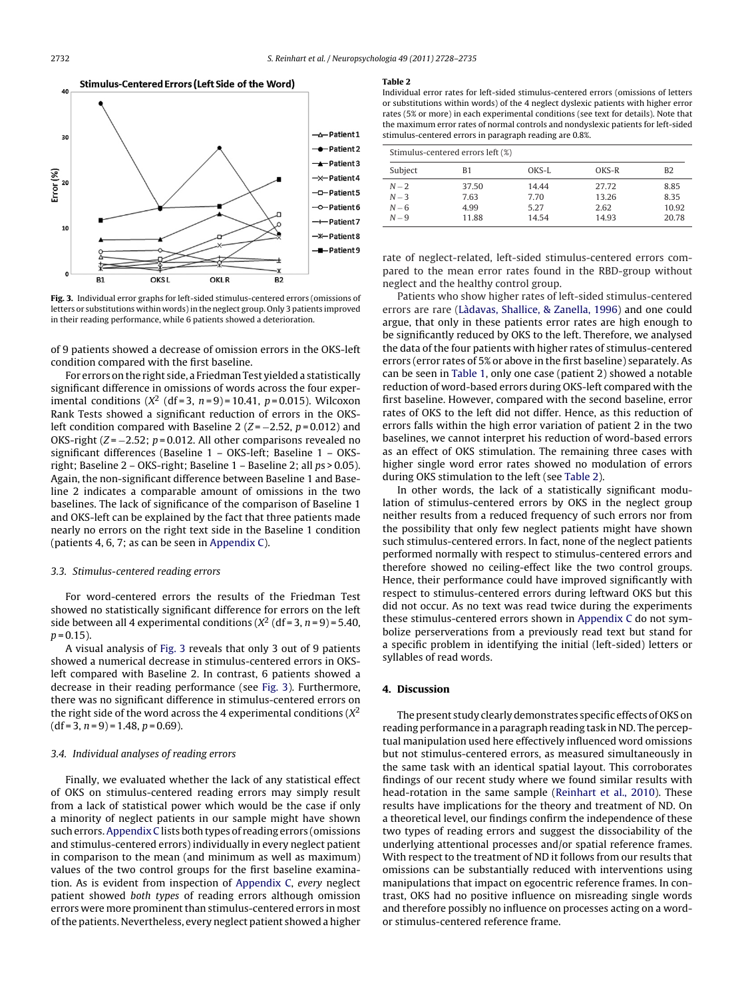

**Fig. 3.** Individual error graphs for left-sided stimulus-centered errors (omissions of letters or substitutions within words) in the neglect group. Only 3 patients improved in their reading performance, while 6 patients showed a deterioration.

of 9 patients showed a decrease of omission errors in the OKS-left condition compared with the first baseline.

For errors on the right side, a Friedman Test yielded a statistically significant difference in omissions of words across the four experimental conditions  $(X^2 \text{ (df = 3, n = 9)} = 10.41, p = 0.015)$ . Wilcoxon Rank Tests showed a significant reduction of errors in the OKSleft condition compared with Baseline 2 ( $Z = -2.52$ ,  $p = 0.012$ ) and OKS-right ( $Z = -2.52$ ;  $p = 0.012$ . All other comparisons revealed no significant differences (Baseline 1 – OKS-left; Baseline 1 – OKSright; Baseline 2 – OKS-right; Baseline 1 – Baseline 2; all ps > 0.05). Again, the non-significant difference between Baseline 1 and Baseline 2 indicates a comparable amount of omissions in the two baselines. The lack of significance of the comparison of Baseline 1 and OKS-left can be explained by the fact that three patients made nearly no errors on the right text side in the Baseline 1 condition (patients 4, 6, 7; as can be seen in [Appendix](#page-6-0) [C\).](#page-6-0)

## 3.3. Stimulus-centered reading errors

For word-centered errors the results of the Friedman Test showed no statistically significant difference for errors on the left side between all 4 experimental conditions  $(X^2 (df = 3, n = 9) = 5.40,$  $p = 0.15$ ).

A visual analysis of Fig. 3 reveals that only 3 out of 9 patients showed a numerical decrease in stimulus-centered errors in OKSleft compared with Baseline 2. In contrast, 6 patients showed a decrease in their reading performance (see Fig. 3). Furthermore, there was no significant difference in stimulus-centered errors on the right side of the word across the 4 experimental conditions  $(X^2)$  $(df=3, n=9) = 1.48, p=0.69).$ 

## 3.4. Individual analyses of reading errors

Finally, we evaluated whether the lack of any statistical effect of OKS on stimulus-centered reading errors may simply result from a lack of statistical power which would be the case if only a minority of neglect patients in our sample might have shown such errors.[Appendix](#page-6-0) [C](#page-6-0) lists both types of reading errors (omissions and stimulus-centered errors) individually in every neglect patient in comparison to the mean (and minimum as well as maximum) values of the two control groups for the first baseline examination. As is evident from inspection of [Appendix](#page-6-0) [C,](#page-6-0) every neglect patient showed both types of reading errors although omission errors were more prominent than stimulus-centered errors in most ofthe patients. Nevertheless, every neglect patient showed a higher

#### **Table 2**

Individual error rates for left-sided stimulus-centered errors (omissions of letters or substitutions within words) of the 4 neglect dyslexic patients with higher error rates (5% or more) in each experimental conditions (see text for details). Note that the maximum error rates of normal controls and nondyslexic patients for left-sided stimulus-centered errors in paragraph reading are 0.8%.

| Stimulus-centered errors left (%) |       |       |       |                |  |  |
|-----------------------------------|-------|-------|-------|----------------|--|--|
| Subject                           | B1    | OKS-L | OKS-R | B <sub>2</sub> |  |  |
| $N-2$                             | 37.50 | 14.44 | 27.72 | 8.85           |  |  |
| $N-3$                             | 7.63  | 7.70  | 13.26 | 8.35           |  |  |
| $N-6$                             | 4.99  | 5.27  | 2.62  | 10.92          |  |  |
| $N - 9$                           | 11.88 | 14.54 | 14.93 | 20.78          |  |  |

rate of neglect-related, left-sided stimulus-centered errors compared to the mean error rates found in the RBD-group without neglect and the healthy control group.

Patients who show higher rates of left-sided stimulus-centered errors are rare ([Làdavas,](#page-6-0) [Shallice,](#page-6-0) [&](#page-6-0) [Zanella,](#page-6-0) [1996\)](#page-6-0) and one could argue, that only in these patients error rates are high enough to be significantly reduced by OKS to the left. Therefore, we analysed the data of the four patients with higher rates of stimulus-centered errors (error rates of 5% or above in the first baseline) separately. As can be seen in [Table](#page-2-0) 1, only one case (patient 2) showed a notable reduction of word-based errors during OKS-left compared with the first baseline. However, compared with the second baseline, error rates of OKS to the left did not differ. Hence, as this reduction of errors falls within the high error variation of patient 2 in the two baselines, we cannot interpret his reduction of word-based errors as an effect of OKS stimulation. The remaining three cases with higher single word error rates showed no modulation of errors during OKS stimulation to the left (see Table 2).

In other words, the lack of a statistically significant modulation of stimulus-centered errors by OKS in the neglect group neither results from a reduced frequency of such errors nor from the possibility that only few neglect patients might have shown such stimulus-centered errors. In fact, none of the neglect patients performed normally with respect to stimulus-centered errors and therefore showed no ceiling-effect like the two control groups. Hence, their performance could have improved significantly with respect to stimulus-centered errors during leftward OKS but this did not occur. As no text was read twice during the experiments these stimulus-centered errors shown in [Appendix](#page-6-0) [C](#page-6-0) do not symbolize perserverations from a previously read text but stand for a specific problem in identifying the initial (left-sided) letters or syllables of read words.

## **4. Discussion**

The present study clearly demonstrates specific effects of OKS on reading performance in a paragraph reading task in ND. The perceptual manipulation used here effectively influenced word omissions but not stimulus-centered errors, as measured simultaneously in the same task with an identical spatial layout. This corroborates findings of our recent study where we found similar results with head-rotation in the same sample ([Reinhart](#page-6-0) et [al.,](#page-6-0) [2010\).](#page-6-0) These results have implications for the theory and treatment of ND. On a theoretical level, our findings confirm the independence of these two types of reading errors and suggest the dissociability of the underlying attentional processes and/or spatial reference frames. With respect to the treatment of ND it follows from our results that omissions can be substantially reduced with interventions using manipulations that impact on egocentric reference frames. In contrast, OKS had no positive influence on misreading single words and therefore possibly no influence on processes acting on a wordor stimulus-centered reference frame.

Stimulus-Centered Errors (Left Side of the Word)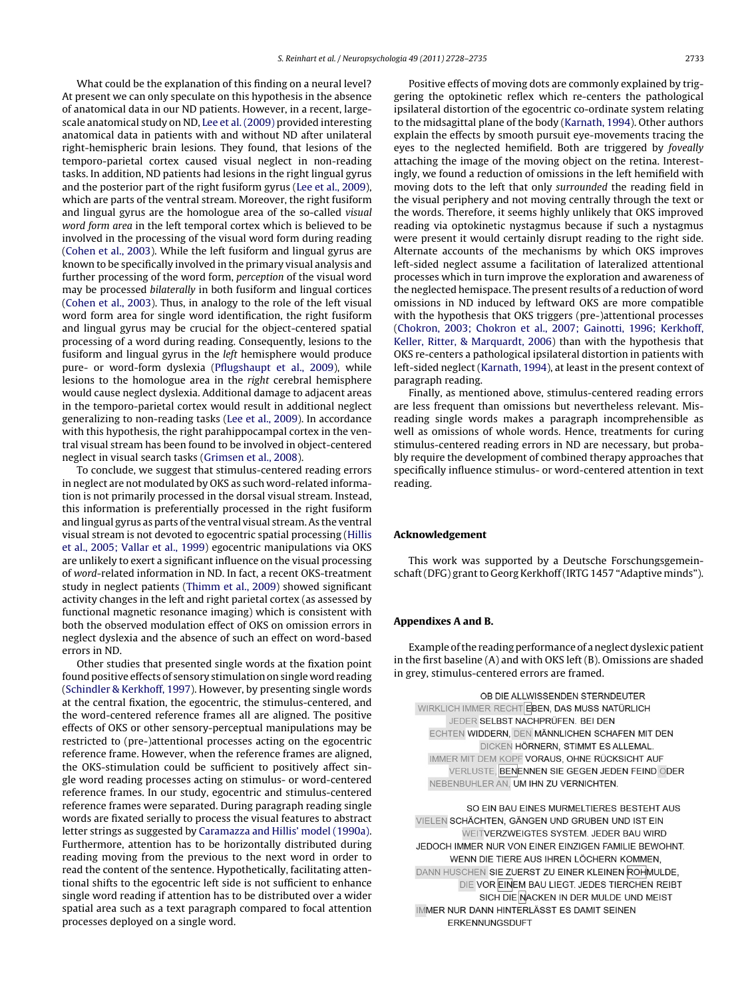<span id="page-5-0"></span>What could be the explanation of this finding on a neural level? At present we can only speculate on this hypothesis in the absence of anatomical data in our ND patients. However, in a recent, largescale anatomical study on ND, [Lee](#page-6-0) et [al.](#page-6-0) [\(2009\)](#page-6-0) provided interesting anatomical data in patients with and without ND after unilateral right-hemispheric brain lesions. They found, that lesions of the temporo-parietal cortex caused visual neglect in non-reading tasks. In addition, ND patients had lesions in the right lingual gyrus and the posterior part of the right fusiform gyrus [\(Lee](#page-6-0) et [al.,](#page-6-0) [2009\),](#page-6-0) which are parts of the ventral stream. Moreover, the right fusiform and lingual gyrus are the homologue area of the so-called visual word form area in the left temporal cortex which is believed to be involved in the processing of the visual word form during reading ([Cohen](#page-6-0) et [al.,](#page-6-0) [2003\).](#page-6-0) While the left fusiform and lingual gyrus are known to be specifically involved in the primary visual analysis and further processing of the word form, perception of the visual word may be processed bilaterally in both fusiform and lingual cortices ([Cohen](#page-6-0) et [al.,](#page-6-0) [2003\).](#page-6-0) Thus, in analogy to the role of the left visual word form area for single word identification, the right fusiform and lingual gyrus may be crucial for the object-centered spatial processing of a word during reading. Consequently, lesions to the fusiform and lingual gyrus in the left hemisphere would produce pure- or word-form dyslexia [\(Pflugshaupt](#page-6-0) et [al.,](#page-6-0) [2009\),](#page-6-0) while lesions to the homologue area in the right cerebral hemisphere would cause neglect dyslexia. Additional damage to adjacent areas in the temporo-parietal cortex would result in additional neglect generalizing to non-reading tasks ([Lee](#page-6-0) et [al.,](#page-6-0) [2009\).](#page-6-0) In accordance with this hypothesis, the right parahippocampal cortex in the ventral visual stream has been found to be involved in object-centered neglect in visual search tasks [\(Grimsen](#page-6-0) et [al.,](#page-6-0) [2008\).](#page-6-0)

To conclude, we suggest that stimulus-centered reading errors in neglect are not modulated by OKS as such word-related information is not primarily processed in the dorsal visual stream. Instead, this information is preferentially processed in the right fusiform and lingual gyrus as parts ofthe ventral visual stream.As the ventral visual stream is not devoted to egocentric spatial processing ([Hillis](#page-6-0) et [al.,](#page-6-0) [2005;](#page-6-0) [Vallar](#page-6-0) et [al.,](#page-6-0) [1999\)](#page-6-0) egocentric manipulations via OKS are unlikely to exert a significant influence on the visual processing of word-related information in ND. In fact, a recent OKS-treatment study in neglect patients ([Thimm](#page-6-0) et [al.,](#page-6-0) [2009\)](#page-6-0) showed significant activity changes in the left and right parietal cortex (as assessed by functional magnetic resonance imaging) which is consistent with both the observed modulation effect of OKS on omission errors in neglect dyslexia and the absence of such an effect on word-based errors in ND.

Other studies that presented single words at the fixation point found positive effects of sensory stimulation on single word reading ([Schindler](#page-6-0) [&](#page-6-0) [Kerkhoff,](#page-6-0) [1997\).](#page-6-0) However, by presenting single words at the central fixation, the egocentric, the stimulus-centered, and the word-centered reference frames all are aligned. The positive effects of OKS or other sensory-perceptual manipulations may be restricted to (pre-)attentional processes acting on the egocentric reference frame. However, when the reference frames are aligned, the OKS-stimulation could be sufficient to positively affect single word reading processes acting on stimulus- or word-centered reference frames. In our study, egocentric and stimulus-centered reference frames were separated. During paragraph reading single words are fixated serially to process the visual features to abstract letter strings as suggested by [Caramazza](#page-6-0) [and](#page-6-0) [Hillis'](#page-6-0) [model](#page-6-0) [\(1990a\).](#page-6-0) Furthermore, attention has to be horizontally distributed during reading moving from the previous to the next word in order to read the content of the sentence. Hypothetically, facilitating attentional shifts to the egocentric left side is not sufficient to enhance single word reading if attention has to be distributed over a wider spatial area such as a text paragraph compared to focal attention processes deployed on a single word.

Positive effects of moving dots are commonly explained by triggering the optokinetic reflex which re-centers the pathological ipsilateral distortion of the egocentric co-ordinate system relating to the midsagittal plane of the body [\(Karnath,](#page-6-0) [1994\).](#page-6-0) Other authors explain the effects by smooth pursuit eye-movements tracing the eyes to the neglected hemifield. Both are triggered by foveally attaching the image of the moving object on the retina. Interestingly, we found a reduction of omissions in the left hemifield with moving dots to the left that only surrounded the reading field in the visual periphery and not moving centrally through the text or the words. Therefore, it seems highly unlikely that OKS improved reading via optokinetic nystagmus because if such a nystagmus were present it would certainly disrupt reading to the right side. Alternate accounts of the mechanisms by which OKS improves left-sided neglect assume a facilitation of lateralized attentional processes which in turn improve the exploration and awareness of the neglected hemispace. The present results of a reduction of word omissions in ND induced by leftward OKS are more compatible with the hypothesis that OKS triggers (pre-)attentional processes [\(Chokron,](#page-6-0) [2003;](#page-6-0) [Chokron](#page-6-0) et [al.,](#page-6-0) [2007;](#page-6-0) [Gainotti,](#page-6-0) [1996;](#page-6-0) [Kerkhoff,](#page-6-0) [Keller,](#page-6-0) [Ritter,](#page-6-0) [&](#page-6-0) [Marquardt,](#page-6-0) [2006\)](#page-6-0) than with the hypothesis that OKS re-centers a pathological ipsilateral distortion in patients with left-sided neglect [\(Karnath,](#page-6-0) [1994\),](#page-6-0) at least in the present context of paragraph reading.

Finally, as mentioned above, stimulus-centered reading errors are less frequent than omissions but nevertheless relevant. Misreading single words makes a paragraph incomprehensible as well as omissions of whole words. Hence, treatments for curing stimulus-centered reading errors in ND are necessary, but probably require the development of combined therapy approaches that specifically influence stimulus- or word-centered attention in text reading.

## **Acknowledgement**

This work was supported by a Deutsche Forschungsgemeinschaft (DFG) grant to Georg Kerkhoff (IRTG 1457 "Adaptive minds").

## **Appendixes A and B.**

Example of the reading performance of a neglect dyslexic patient in the first baseline (A) and with OKS left (B). Omissions are shaded in grey, stimulus-centered errors are framed.

OB DIE ALLWISSENDEN STERNDEUTER WIRKLICH IMMER RECHT EBEN, DAS MUSS NATÜRLICH JEDER SELBST NACHPRÜFEN. BEI DEN ECHTEN WIDDERN, DEN MÄNNLICHEN SCHAFEN MIT DEN DICKEN HÖRNERN, STIMMT ES ALLEMAL. IMMER MIT DEM KOPF VORAUS, OHNE RÜCKSICHT AUF VERLUSTE, BENENNEN SIE GEGEN JEDEN FEIND ODER NEBENBUHLER AN, UM IHN ZU VERNICHTEN.

SO EIN BAU EINES MURMELTIERES BESTEHT AUS VIELEN SCHÄCHTEN, GÄNGEN UND GRUBEN UND IST EIN WEITVERZWEIGTES SYSTEM. JEDER BAU WIRD JEDOCH IMMER NUR VON EINER EINZIGEN FAMILIE BEWOHNT. WENN DIE TIERE AUS IHREN LÖCHERN KOMMEN, DANN HUSCHEN SIE ZUERST ZU EINER KLEINEN ROHMULDE, DIE VOR EINEM BAU LIEGT. JEDES TIERCHEN REIBT SICH DIE NACKEN IN DER MULDE UND MEIST IMMER NUR DANN HINTERLÄSST ES DAMIT SEINEN ERKENNUNGSDUFT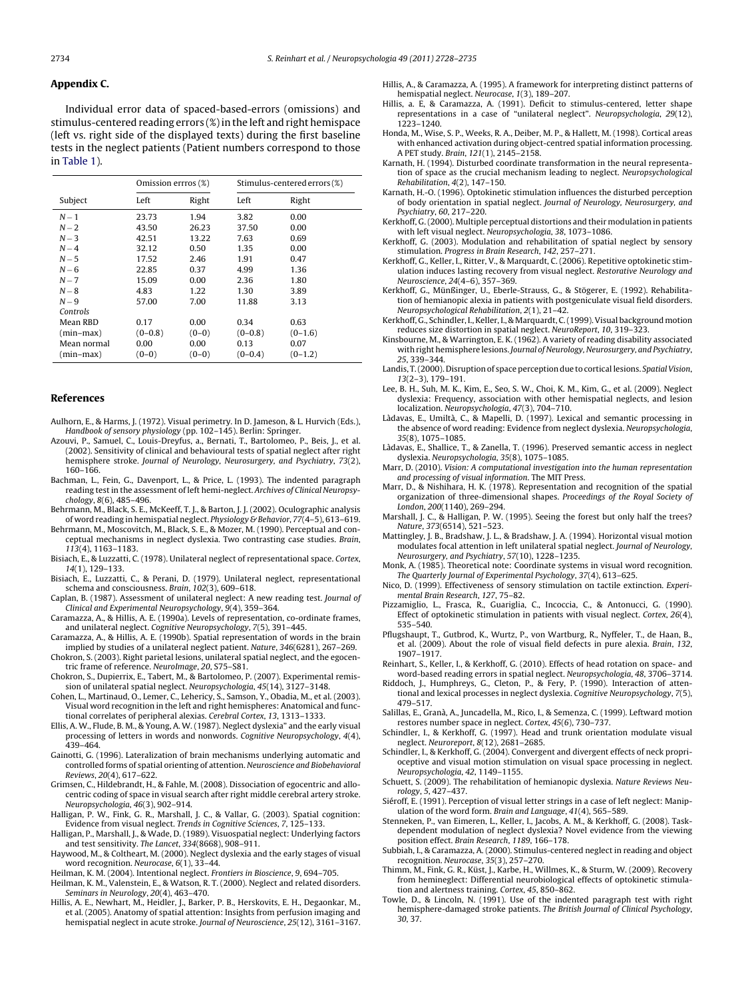## <span id="page-6-0"></span>**Appendix C.**

Individual error data of spaced-based-errors (omissions) and stimulus-centered reading errors (%) in the left and right hemispace (left vs. right side of the displayed texts) during the first baseline tests in the neglect patients (Patient numbers correspond to those in [Table](#page-2-0) 1).

|             | Omission errros (%) |         | Stimulus-centered errors (%) |           |  |
|-------------|---------------------|---------|------------------------------|-----------|--|
| Subject     | Left                | Right   | Left                         | Right     |  |
| $N-1$       | 23.73               | 1.94    | 3.82                         | 0.00      |  |
| $N-2$       | 43.50               | 26.23   | 37.50                        | 0.00      |  |
| $N-3$       | 42.51               | 13.22   | 7.63                         | 0.69      |  |
| $N-4$       | 32.12               | 0.50    | 1.35                         | 0.00      |  |
| $N-5$       | 17.52               | 2.46    | 1.91                         | 0.47      |  |
| $N - 6$     | 22.85               | 0.37    | 4.99                         | 1.36      |  |
| $N - 7$     | 15.09               | 0.00    | 2.36                         | 1.80      |  |
| $N-8$       | 4.83                | 1.22    | 1.30                         | 3.89      |  |
| $N - 9$     | 57.00               | 7.00    | 11.88                        | 3.13      |  |
| Controls    |                     |         |                              |           |  |
| Mean RBD    | 0.17                | 0.00    | 0.34                         | 0.63      |  |
| (min-max)   | $(0-0.8)$           | $(0-0)$ | $(0-0.8)$                    | $(0-1.6)$ |  |
| Mean normal | 0.00                | 0.00    | 0.13                         | 0.07      |  |
| (min-max)   | $(0-0)$             | $(0-0)$ | $(0-0.4)$                    | $(0-1.2)$ |  |

## **References**

- Aulhorn, E., & Harms, J. (1972). Visual perimetry. In D. Jameson, & L. Hurvich (Eds.), Handbook of sensory physiology (pp. 102–145). Berlin: Springer.
- Azouvi, P., Samuel, C., Louis-Dreyfus, a., Bernati, T., Bartolomeo, P., Beis, J., et al. (2002). Sensitivity of clinical and behavioural tests of spatial neglect after right hemisphere stroke. Journal of Neurology, Neurosurgery, and Psychiatry, 73(2), 160–166.
- Bachman, L., Fein, G., Davenport, L., & Price, L. (1993). The indented paragraph reading test in the assessment of left hemi-neglect. Archives of Clinical Neuropsychology, 8(6), 485–496.
- Behrmann, M., Black, S. E., McKeeff, T. J., & Barton, J. J. (2002). Oculographic analysis of word reading in hemispatial neglect. Physiology & Behavior,  $77(4-5)$ , 613-619.
- Behrmann, M., Moscovitch, M., Black, S. E., & Mozer, M. (1990). Perceptual and conceptual mechanisms in neglect dyslexia. Two contrasting case studies. Brain, 113(4), 1163–1183.
- Bisiach, E., & Luzzatti, C. (1978). Unilateral neglect of representational space. Cortex, 14(1), 129–133.
- Bisiach, E., Luzzatti, C., & Perani, D. (1979). Unilateral neglect, representational schema and consciousness. Brain, 102(3), 609–618.
- Caplan, B. (1987). Assessment of unilateral neglect: A new reading test. Journal of Clinical and Experimental Neuropsychology, 9(4), 359–364.
- Caramazza, A., & Hillis, A. E. (1990a). Levels of representation, co-ordinate frames, and unilateral neglect. Cognitive Neuropsychology, 7(5), 391–445.
- Caramazza, A., & Hillis, A. E. (1990b). Spatial representation of words in the brain implied by studies of a unilateral neglect patient. Nature, 346(6281), 267–269.
- Chokron, S. (2003). Right parietal lesions, unilateral spatial neglect, and the egocentric frame of reference. NeuroImage, 20, S75–S81.
- Chokron, S., Dupierrix, E., Tabert, M., & Bartolomeo, P. (2007). Experimental remission of unilateral spatial neglect. Neuropsychologia, 45(14), 3127–3148.
- Cohen, L., Martinaud, O., Lemer, C., Lehericy, S., Samson, Y., Obadia, M., et al. (2003). Visual word recognition in the left and right hemispheres: Anatomical and functional correlates of peripheral alexias. Cerebral Cortex, 13, 1313–1333.
- Ellis, A. W., Flude, B. M., & Young, A. W. (1987). Neglect dyslexia" and the early visual processing of letters in words and nonwords. Cognitive Neuropsychology, 4(4), 439–464.
- Gainotti, G. (1996). Lateralization of brain mechanisms underlying automatic and controlled forms of spatial orienting of attention. Neuroscience and Biobehavioral Reviews, 20(4), 617–622.
- Grimsen, C., Hildebrandt, H., & Fahle, M. (2008). Dissociation of egocentric and allocentric coding of space in visual search after right middle cerebral artery stroke. Neuropsychologia, 46(3), 902–914.
- Halligan, P. W., Fink, G. R., Marshall, J. C., & Vallar, G. (2003). Spatial cognition: Evidence from visual neglect. Trends in Cognitive Sciences, 7, 125–133.
- Halligan, P., Marshall, J., & Wade, D. (1989). Visuospatial neglect: Underlying factors and test sensitivity. The Lancet, 334(8668), 908–911.
- Haywood, M., & Coltheart, M. (2000). Neglect dyslexia and the early stages of visual word recognition. Neurocase, 6(1), 33–44.
- Heilman, K. M. (2004). Intentional neglect. Frontiers in Bioscience, 9, 694–705.
- Heilman, K. M., Valenstein, E., & Watson, R. T. (2000). Neglect and related disorders. Seminars in Neurology, 20(4), 463–470.
- Hillis, A. E., Newhart, M., Heidler, J., Barker, P. B., Herskovits, E. H., Degaonkar, M., et al. (2005). Anatomy of spatial attention: Insights from perfusion imaging and hemispatial neglect in acute stroke. Journal of Neuroscience, 25(12), 3161–3167.
- Hillis, A., & Caramazza, A. (1995). A framework for interpreting distinct patterns of hemispatial neglect. Neurocase, 1(3), 189–207.
- Hillis, a. E, & Caramazza, A. (1991). Deficit to stimulus-centered, letter shape representations in a case of "unilateral neglect". Neuropsychologia, 29(12), 1223–1240.
- Honda, M., Wise, S. P., Weeks, R. A., Deiber, M. P., & Hallett, M. (1998). Cortical areas with enhanced activation during object-centred spatial information processing. A PET study. Brain, 121(1), 2145–2158.
- Karnath, H. (1994). Disturbed coordinate transformation in the neural representation of space as the crucial mechanism leading to neglect. Neuropsychological Rehabilitation, 4(2), 147–150.
- Karnath, H.-O. (1996). Optokinetic stimulation influences the disturbed perception of body orientation in spatial neglect. Journal of Neurology, Neurosurgery, and Psychiatry, 60, 217–220.
- Kerkhoff, G.(2000). Multiple perceptual distortions and their modulation in patients with left visual neglect. Neuropsychologia, 38, 1073–1086.
- Kerkhoff, G. (2003). Modulation and rehabilitation of spatial neglect by sensory stimulation. Progress in Brain Research, 142, 257–271.
- Kerkhoff, G., Keller, I., Ritter, V., & Marquardt, C. (2006). Repetitive optokinetic stimulation induces lasting recovery from visual neglect. Restorative Neurology and Neuroscience, 24(4–6), 357–369.
- Kerkhoff, G., Münßinger, U., Eberle-Strauss, G., & Stögerer, E. (1992). Rehabilitation of hemianopic alexia in patients with postgeniculate visual field disorders. Neuropsychological Rehabilitation, 2(1), 21–42.
- Kerkhoff, G., Schindler, I., Keller, I., & Marquardt, C. (1999). Visual background motion reduces size distortion in spatial neglect. NeuroReport, 10, 319–323.
- Kinsbourne, M., & Warrington, E. K. (1962). A variety of reading disability associated with right hemisphere lesions. Journal of Neurology, Neurosurgery, and Psychiatry, 25, 339–344.
- Landis, T. (2000). Disruption of space perception due to cortical lesions. Spatial Vision, 13(2–3), 179–191.
- Lee, B. H., Suh, M. K., Kim, E., Seo, S. W., Choi, K. M., Kim, G., et al. (2009). Neglect dyslexia: Frequency, association with other hemispatial neglects, and lesion localization. Neuropsychologia, 47(3), 704–710.
- Làdavas, E., Umiltà, C., & Mapelli, D. (1997). Lexical and semantic processing in the absence of word reading: Evidence from neglect dyslexia. Neuropsychologia, 35(8), 1075–1085.
- Làdavas, E., Shallice, T., & Zanella, T. (1996). Preserved semantic access in neglect dyslexia. Neuropsychologia, 35(8), 1075–1085.
- Marr, D. (2010). Vision: A computational investigation into the human representation and processing of visual information. The MIT Press.
- Marr, D., & Nishihara, H. K. (1978). Representation and recognition of the spatial organization of three-dimensional shapes. Proceedings of the Royal Society of London, 200(1140), 269–294.
- Marshall, J. C., & Halligan, P. W. (1995). Seeing the forest but only half the trees? Nature, 373(6514), 521–523.
- Mattingley, J. B., Bradshaw, J. L., & Bradshaw, J. A. (1994). Horizontal visual motion modulates focal attention in left unilateral spatial neglect. Journal of Neurology, Neurosurgery, and Psychiatry, 57(10), 1228–1235.
- Monk, A. (1985). Theoretical note: Coordinate systems in visual word recognition. The Quarterly Journal of Experimental Psychology, 37(4), 613–625.
- Nico, D. (1999). Effectiveness of sensory stimulation on tactile extinction. Experimental Brain Research, 127, 75–82.
- Pizzamiglio, L., Frasca, R., Guariglia, C., Incoccia, C., & Antonucci, G. (1990). Effect of optokinetic stimulation in patients with visual neglect. Cortex, 26(4), 535–540.
- Pflugshaupt, T., Gutbrod, K., Wurtz, P., von Wartburg, R., Nyffeler, T., de Haan, B., et al. (2009). About the role of visual field defects in pure alexia. Brain, 132, 1907–1917.
- Reinhart, S., Keller, I., & Kerkhoff, G. (2010). Effects of head rotation on space- and word-based reading errors in spatial neglect. Neuropsychologia, 48, 3706–3714.
- Riddoch, J., Humphreys, G., Cleton, P., & Fery, P. (1990). Interaction of attentional and lexical processes in neglect dyslexia. Cognitive Neuropsychology, 7(5), 479–517.
- Salillas, E., Granà, A., Juncadella, M., Rico, I., & Semenza, C. (1999). Leftward motion restores number space in neglect. Cortex, 45(6), 730–737.
- Schindler, I., & Kerkhoff, G. (1997). Head and trunk orientation modulate visual neglect. Neuroreport, 8(12), 2681–2685.
- Schindler, I., & Kerkhoff, G. (2004). Convergent and divergent effects of neck proprioceptive and visual motion stimulation on visual space processing in neglect. Neuropsychologia, 42, 1149–1155.
- Schuett, S. (2009). The rehabilitation of hemianopic dyslexia. Nature Reviews Neurology, 5, 427–437.
- Siéroff, E. (1991). Perception of visual letter strings in a case of left neglect: Manipulation of the word form. Brain and Language, 41(4), 565–589.
- Stenneken, P., van Eimeren, L., Keller, I., Jacobs, A. M., & Kerkhoff, G. (2008). Taskdependent modulation of neglect dyslexia? Novel evidence from the viewing position effect. Brain Research, 1189, 166–178.
- Subbiah, I., & Caramazza, A. (2000). Stimulus-centered neglect in reading and object recognition. Neurocase, 35(3), 257–270.
- Thimm, M., Fink, G. R., Küst, J., Karbe, H., Willmes, K., & Sturm, W. (2009). Recovery from hemineglect: Differential neurobiological effects of optokinetic stimulation and alertness training. Cortex, 45, 850–862.
- Towle, D., & Lincoln, N. (1991). Use of the indented paragraph test with right hemisphere-damaged stroke patients. The British Journal of Clinical Psychology, 30, 37.